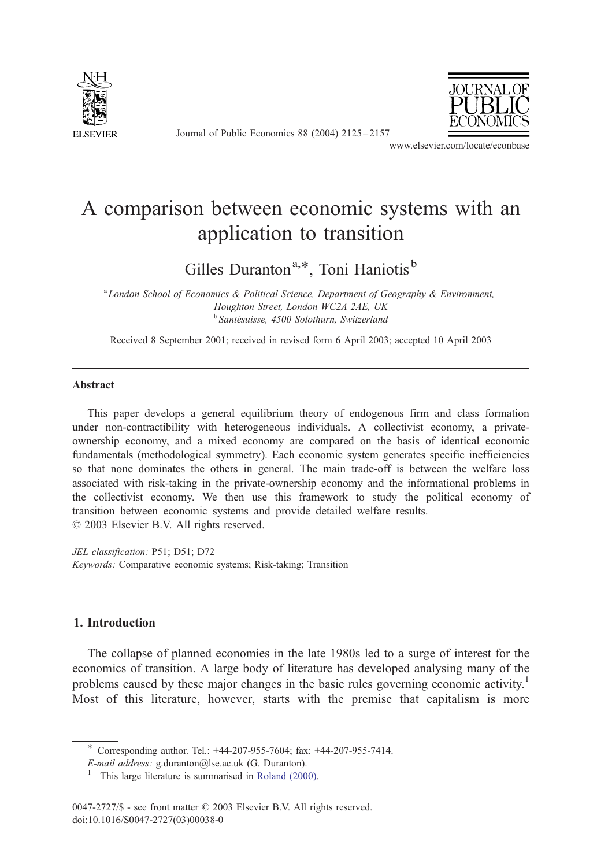

Journal of Public Economics 88 (2004) 2125 – 2157



www.elsevier.com/locate/econbase

## A comparison between economic systems with an application to transition

Gilles Duranton<sup>a,\*</sup>, Toni Haniotis<sup>b</sup>

<sup>a</sup> London School of Economics & Political Science, Department of Geography & Environment, Houghton Street, London WC2A 2AE, UK <sup>b</sup> Santésuisse, 4500 Solothurn, Switzerland

Received 8 September 2001; received in revised form 6 April 2003; accepted 10 April 2003

## Abstract

This paper develops a general equilibrium theory of endogenous firm and class formation under non-contractibility with heterogeneous individuals. A collectivist economy, a privateownership economy, and a mixed economy are compared on the basis of identical economic fundamentals (methodological symmetry). Each economic system generates specific inefficiencies so that none dominates the others in general. The main trade-off is between the welfare loss associated with risk-taking in the private-ownership economy and the informational problems in the collectivist economy. We then use this framework to study the political economy of transition between economic systems and provide detailed welfare results.  $\odot$  2003 Elsevier B.V. All rights reserved.

JEL classification: P51: D51: D72 Keywords: Comparative economic systems; Risk-taking; Transition

## 1. Introduction

The collapse of planned economies in the late 1980s led to a surge of interest for the economics of transition. A large body of literature has developed analysing many of the problems caused by these major changes in the basic rules governing economic activity.<sup>1</sup> Most of this literature, however, starts with the premise that capitalism is more

\* Corresponding author. Tel.: +44-207-955-7604; fax: +44-207-955-7414.

E-mail address: g.duranton@lse.ac.uk (G. Duranton).<br><sup>1</sup> This large literature is summarised in [Roland \(2000](#page--1-0)).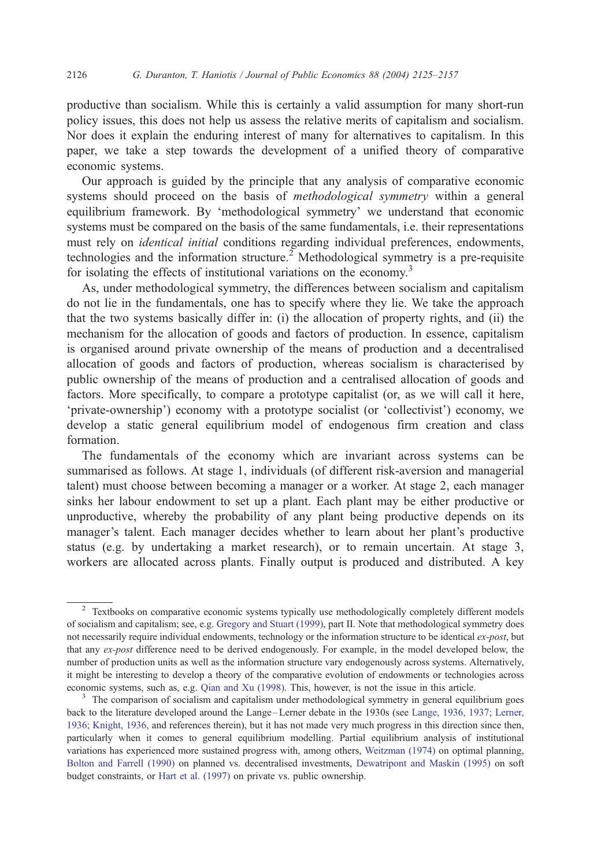productive than socialism. While this is certainly a valid assumption for many short-run policy issues, this does not help us assess the relative merits of capitalism and socialism. Nor does it explain the enduring interest of many for alternatives to capitalism. In this paper, we take a step towards the development of a unified theory of comparative economic systems.

Our approach is guided by the principle that any analysis of comparative economic systems should proceed on the basis of *methodological symmetry* within a general equilibrium framework. By 'methodological symmetry' we understand that economic systems must be compared on the basis of the same fundamentals, i.e. their representations must rely on identical initial conditions regarding individual preferences, endowments, technologies and the information structure.<sup>2</sup> Methodological symmetry is a pre-requisite for isolating the effects of institutional variations on the economy.<sup>3</sup>

As, under methodological symmetry, the differences between socialism and capitalism do not lie in the fundamentals, one has to specify where they lie. We take the approach that the two systems basically differ in: (i) the allocation of property rights, and (ii) the mechanism for the allocation of goods and factors of production. In essence, capitalism is organised around private ownership of the means of production and a decentralised allocation of goods and factors of production, whereas socialism is characterised by public ownership of the means of production and a centralised allocation of goods and factors. More specifically, to compare a prototype capitalist (or, as we will call it here, 'private-ownership') economy with a prototype socialist (or 'collectivist') economy, we develop a static general equilibrium model of endogenous firm creation and class formation.

The fundamentals of the economy which are invariant across systems can be summarised as follows. At stage 1, individuals (of different risk-aversion and managerial talent) must choose between becoming a manager or a worker. At stage 2, each manager sinks her labour endowment to set up a plant. Each plant may be either productive or unproductive, whereby the probability of any plant being productive depends on its manager's talent. Each manager decides whether to learn about her plant's productive status (e.g. by undertaking a market research), or to remain uncertain. At stage 3, workers are allocated across plants. Finally output is produced and distributed. A key

<sup>&</sup>lt;sup>2</sup> Textbooks on comparative economic systems typically use methodologically completely different models of socialism and capitalism; see, e.g. [Gregory and Stuart \(1999\),](#page--1-0) part II. Note that methodological symmetry does not necessarily require individual endowments, technology or the information structure to be identical ex-post, but that any ex-post difference need to be derived endogenously. For example, in the model developed below, the number of production units as well as the information structure vary endogenously across systems. Alternatively, it might be interesting to develop a theory of the comparative evolution of endowments or technologies across

economic systems, such as, e.g. [Qian and Xu \(1998\).](#page--1-0) This, however, is not the issue in this article.<br><sup>3</sup> The comparison of socialism and capitalism under methodological symmetry in general equilibrium goes back to the literature developed around the Lange – Lerner debate in the 1930s (see [Lange, 1936, 1937; Lerner,](#page--1-0) 1936; Knight, 1936, and references therein), but it has not made very much progress in this direction since then, particularly when it comes to general equilibrium modelling. Partial equilibrium analysis of institutional variations has experienced more sustained progress with, among others, [Weitzman \(1974\)](#page--1-0) on optimal planning, [Bolton and Farrell \(1990\)](#page--1-0) on planned vs. decentralised investments, [Dewatripont and Maskin \(1995\)](#page--1-0) on soft budget constraints, or [Hart et al. \(1997\)](#page--1-0) on private vs. public ownership.